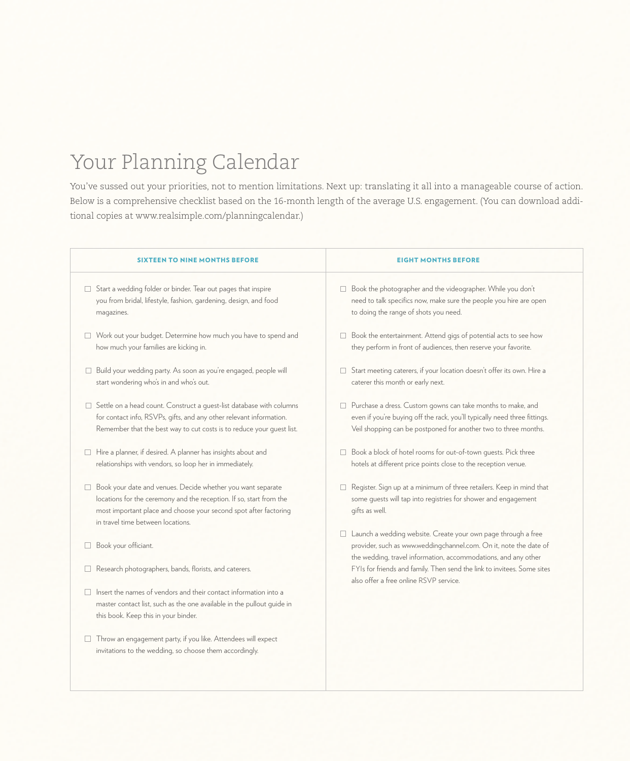## Your Planning Calendar

You've sussed out your priorities, not to mention limitations. Next up: translating it all into a manageable course of action. Below is a comprehensive checklist based on the 16-month length of the average U.S. engagement. (You can download additional copies at www.realsimple.com/planningcalendar.)

| <b>SIXTEEN TO NINE MONTHS BEFORE</b>                                                                                                                                                                                                                  | <b>EIGHT MONTHS BEFORE</b>                                                                                                                                                                                    |
|-------------------------------------------------------------------------------------------------------------------------------------------------------------------------------------------------------------------------------------------------------|---------------------------------------------------------------------------------------------------------------------------------------------------------------------------------------------------------------|
| Start a wedding folder or binder. Tear out pages that inspire<br>you from bridal, lifestyle, fashion, gardening, design, and food<br>magazines.                                                                                                       | □ Book the photographer and the videographer. While you don't<br>need to talk specifics now, make sure the people you hire are open<br>to doing the range of shots you need.                                  |
| Work out your budget. Determine how much you have to spend and<br>how much your families are kicking in.                                                                                                                                              | $\Box$ Book the entertainment. Attend gigs of potential acts to see how<br>they perform in front of audiences, then reserve your favorite.                                                                    |
| □ Build your wedding party. As soon as you're engaged, people will<br>start wondering who's in and who's out.                                                                                                                                         | □ Start meeting caterers, if your location doesn't offer its own. Hire a<br>caterer this month or early next.                                                                                                 |
| Settle on a head count. Construct a quest-list database with columns<br>for contact info, RSVPs, gifts, and any other relevant information.<br>Remember that the best way to cut costs is to reduce your quest list.                                  | □ Purchase a dress. Custom gowns can take months to make, and<br>even if you're buying off the rack, you'll typically need three fittings.<br>Veil shopping can be postponed for another two to three months. |
| Hire a planner, if desired. A planner has insights about and<br>relationships with vendors, so loop her in immediately.                                                                                                                               | □ Book a block of hotel rooms for out-of-town guests. Pick three<br>hotels at different price points close to the reception venue.                                                                            |
| Book your date and venues. Decide whether you want separate<br>$\Box$<br>locations for the ceremony and the reception. If so, start from the<br>most important place and choose your second spot after factoring<br>in travel time between locations. | □ Register. Sign up at a minimum of three retailers. Keep in mind that<br>some guests will tap into registries for shower and engagement<br>gifts as well.                                                    |
| Book your officiant.                                                                                                                                                                                                                                  | □ Launch a wedding website. Create your own page through a free<br>provider, such as www.weddingchannel.com. On it, note the date of<br>the wedding, travel information, accommodations, and any other        |
| Research photographers, bands, florists, and caterers.                                                                                                                                                                                                | FYIs for friends and family. Then send the link to invitees. Some sites<br>also offer a free online RSVP service.                                                                                             |
| $\Box$ Insert the names of vendors and their contact information into a<br>master contact list, such as the one available in the pullout quide in<br>this book. Keep this in your binder.                                                             |                                                                                                                                                                                                               |
| Throw an engagement party, if you like. Attendees will expect<br>invitations to the wedding, so choose them accordingly.                                                                                                                              |                                                                                                                                                                                                               |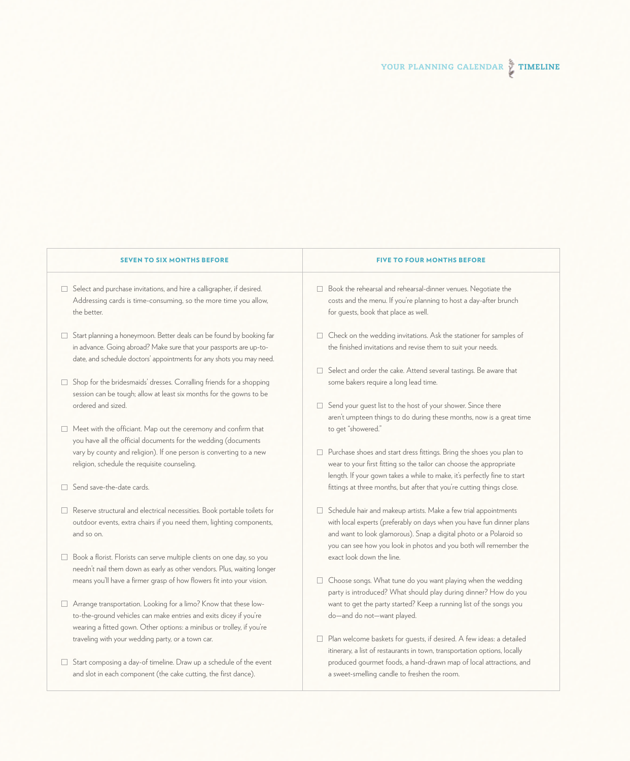## **SEVEN TO SIX MONTHS BEFORE FIVE TO FOUR MONTHS BEFORE**

- $\Box$  Select and purchase invitations, and hire a calligrapher, if desired. Addressing cards is time-consuming, so the more time you allow, the better.
- $\Box$  Start planning a honeymoon. Better deals can be found by booking far in advance. Going abroad? Make sure that your passports are up-todate, and schedule doctors' appointments for any shots you may need.
- $\Box$  Shop for the bridesmaids' dresses. Corralling friends for a shopping session can be tough; allow at least six months for the gowns to be ordered and sized.
- $\Box$  Meet with the officiant. Map out the ceremony and confirm that you have all the official documents for the wedding (documents vary by county and religion). If one person is converting to a new religion, schedule the requisite counseling.
- Send save-the-date cards.
- □ Reserve structural and electrical necessities. Book portable toilets for outdoor events, extra chairs if you need them, lighting components, and so on.
- □ Book a florist. Florists can serve multiple clients on one day, so you needn't nail them down as early as other vendors. Plus, waiting longer means you'll have a firmer grasp of how flowers fit into your vision.
- Arrange transportation. Looking for a limo? Know that these lowto-the-ground vehicles can make entries and exits dicey if you're wearing a fitted gown. Other options: a minibus or trolley, if you're traveling with your wedding party, or a town car.
- $\Box$  Start composing a day-of timeline. Draw up a schedule of the event and slot in each component (the cake cutting, the first dance).

- Book the rehearsal and rehearsal-dinner venues. Negotiate the costs and the menu. If you're planning to host a day-after brunch for guests, book that place as well.
- $\Box$  Check on the wedding invitations. Ask the stationer for samples of the finished invitations and revise them to suit your needs.
- $\Box$  Select and order the cake. Attend several tastings. Be aware that some bakers require a long lead time.
- $\Box$  Send your guest list to the host of your shower. Since there aren't umpteen things to do during these months, now is a great time to get "showered."
- $\Box$  Purchase shoes and start dress fittings. Bring the shoes you plan to wear to your first fitting so the tailor can choose the appropriate length. If your gown takes a while to make, it's perfectly fine to start fittings at three months, but after that you're cutting things close.
- $\Box$  Schedule hair and makeup artists. Make a few trial appointments with local experts (preferably on days when you have fun dinner plans and want to look glamorous). Snap a digital photo or a Polaroid so you can see how you look in photos and you both will remember the exact look down the line.
- $\Box$  Choose songs. What tune do you want playing when the wedding party is introduced? What should play during dinner? How do you want to get the party started? Keep a running list of the songs you do—and do not—want played.
- $\Box$  Plan welcome baskets for guests, if desired. A few ideas: a detailed itinerary, a list of restaurants in town, transportation options, locally produced gourmet foods, a hand-drawn map of local attractions, and a sweet-smelling candle to freshen the room.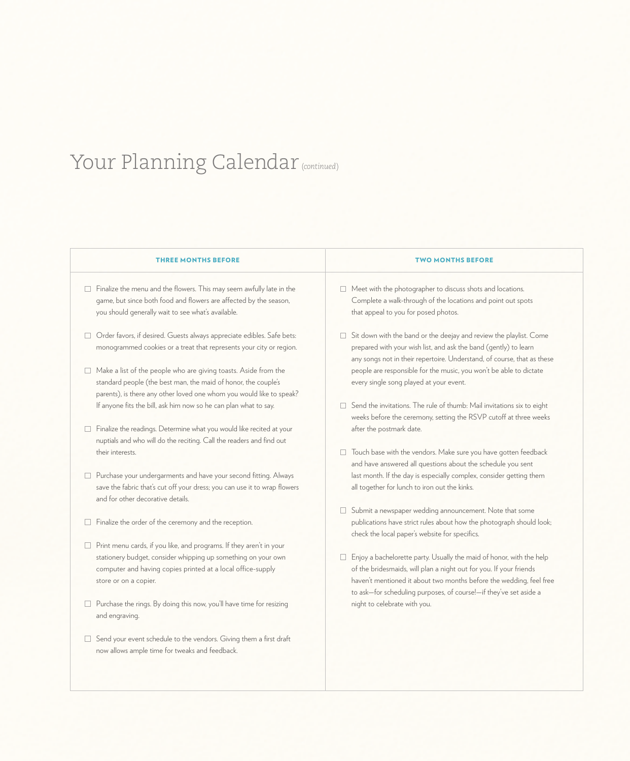## Your Planning Calendar (*continued*)

| <b>THREE MONTHS BEFORE</b>                                                                                                                                                                                                          | <b>TWO MONTHS BEFORE</b>                                                                                                                                                                                                                                                                         |
|-------------------------------------------------------------------------------------------------------------------------------------------------------------------------------------------------------------------------------------|--------------------------------------------------------------------------------------------------------------------------------------------------------------------------------------------------------------------------------------------------------------------------------------------------|
| $\Box$ Finalize the menu and the flowers. This may seem awfully late in the<br>game, but since both food and flowers are affected by the season,<br>you should generally wait to see what's available.                              | $\Box$ Meet with the photographer to discuss shots and locations.<br>Complete a walk-through of the locations and point out spots<br>that appeal to you for posed photos.                                                                                                                        |
| Order favors, if desired. Guests always appreciate edibles. Safe bets:<br>monogrammed cookies or a treat that represents your city or region.                                                                                       | $\Box$ Sit down with the band or the deejay and review the playlist. Come<br>prepared with your wish list, and ask the band (gently) to learn<br>any songs not in their repertoire. Understand, of course, that as these                                                                         |
| $\Box$ Make a list of the people who are giving toasts. Aside from the<br>standard people (the best man, the maid of honor, the couple's<br>parents), is there any other loved one whom you would like to speak?                    | people are responsible for the music, you won't be able to dictate<br>every single song played at your event.                                                                                                                                                                                    |
| If anyone fits the bill, ask him now so he can plan what to say.                                                                                                                                                                    | $\Box$ Send the invitations. The rule of thumb: Mail invitations six to eight<br>weeks before the ceremony, setting the RSVP cutoff at three weeks                                                                                                                                               |
| Finalize the readings. Determine what you would like recited at your<br>nuptials and who will do the reciting. Call the readers and find out                                                                                        | after the postmark date.                                                                                                                                                                                                                                                                         |
| their interests.                                                                                                                                                                                                                    | Touch base with the vendors. Make sure you have gotten feedback<br>□<br>and have answered all questions about the schedule you sent                                                                                                                                                              |
| □ Purchase your undergarments and have your second fitting. Always<br>save the fabric that's cut off your dress; you can use it to wrap flowers<br>and for other decorative details.                                                | last month. If the day is especially complex, consider getting them<br>all together for lunch to iron out the kinks.                                                                                                                                                                             |
| Finalize the order of the ceremony and the reception.<br>$\Box$                                                                                                                                                                     | □ Submit a newspaper wedding announcement. Note that some<br>publications have strict rules about how the photograph should look;<br>check the local paper's website for specifics.                                                                                                              |
| $\Box$ Print menu cards, if you like, and programs. If they aren't in your<br>stationery budget, consider whipping up something on your own<br>computer and having copies printed at a local office-supply<br>store or on a copier. | Enjoy a bachelorette party. Usually the maid of honor, with the help<br>$\Box$<br>of the bridesmaids, will plan a night out for you. If your friends<br>haven't mentioned it about two months before the wedding, feel free<br>to ask-for scheduling purposes, of course!-if they've set aside a |
| □ Purchase the rings. By doing this now, you'll have time for resizing<br>and engraving.                                                                                                                                            | night to celebrate with you.                                                                                                                                                                                                                                                                     |
| Send your event schedule to the vendors. Giving them a first draft<br>$\Box$<br>now allows ample time for tweaks and feedback.                                                                                                      |                                                                                                                                                                                                                                                                                                  |